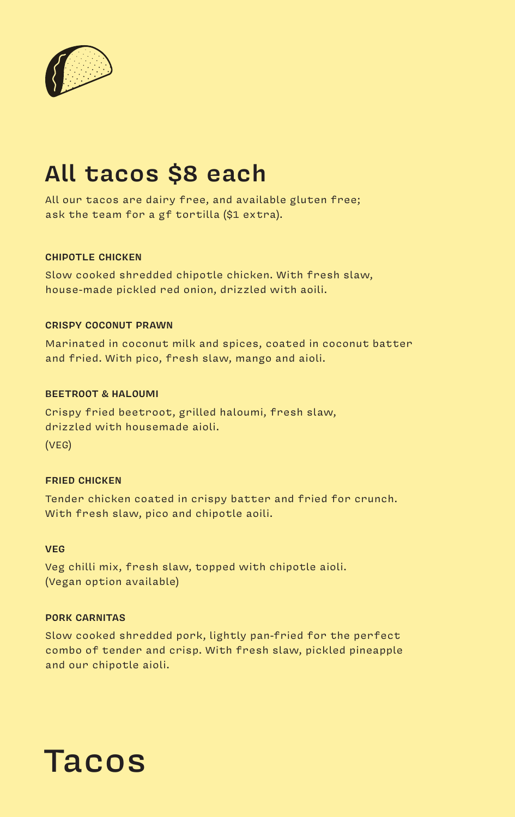

# **All tacos \$8 each**

All our tacos are dairy free, and available gluten free; ask the team for a gf tortilla (\$1 extra).

#### **CHIPOTLE CHICKEN**

Slow cooked shredded chipotle chicken. With fresh slaw, house-made pickled red onion, drizzled with aoili.

#### **CRISPY COCONUT PRAWN**

Marinated in coconut milk and spices, coated in coconut batter and fried. With pico, fresh slaw, mango and aioli.

#### **BEETROOT & HALOUMI**

Crispy fried beetroot, grilled haloumi, fresh slaw, drizzled with housemade aioli. (VEG)

#### **FRIED CHICKEN**

Tender chicken coated in crispy batter and fried for crunch. With fresh slaw, pico and chipotle aoili.

#### **VEG**

Veg chilli mix, fresh slaw, topped with chipotle aioli. (Vegan option available)

#### **PORK CARNITAS**

Slow cooked shredded pork, lightly pan-fried for the perfect combo of tender and crisp. With fresh slaw, pickled pineapple and our chipotle aioli.

# Tacos